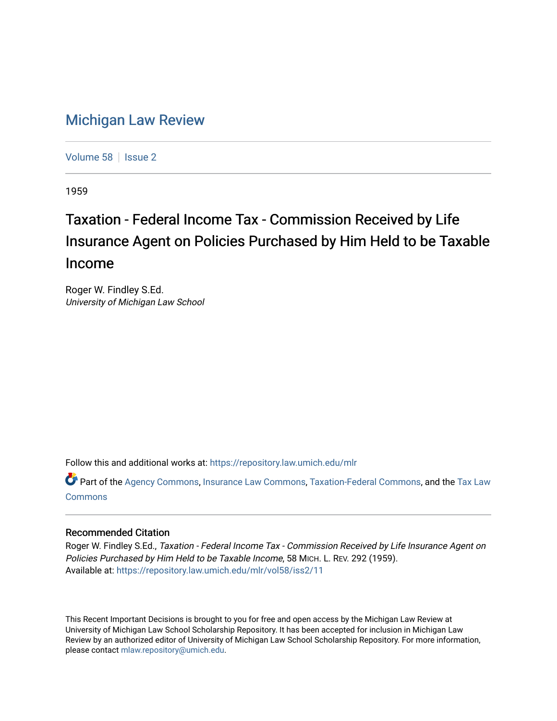## [Michigan Law Review](https://repository.law.umich.edu/mlr)

[Volume 58](https://repository.law.umich.edu/mlr/vol58) | [Issue 2](https://repository.law.umich.edu/mlr/vol58/iss2)

1959

## Taxation - Federal Income Tax - Commission Received by Life Insurance Agent on Policies Purchased by Him Held to be Taxable Income

Roger W. Findley S.Ed. University of Michigan Law School

Follow this and additional works at: [https://repository.law.umich.edu/mlr](https://repository.law.umich.edu/mlr?utm_source=repository.law.umich.edu%2Fmlr%2Fvol58%2Fiss2%2F11&utm_medium=PDF&utm_campaign=PDFCoverPages) 

Part of the [Agency Commons,](http://network.bepress.com/hgg/discipline/829?utm_source=repository.law.umich.edu%2Fmlr%2Fvol58%2Fiss2%2F11&utm_medium=PDF&utm_campaign=PDFCoverPages) [Insurance Law Commons](http://network.bepress.com/hgg/discipline/607?utm_source=repository.law.umich.edu%2Fmlr%2Fvol58%2Fiss2%2F11&utm_medium=PDF&utm_campaign=PDFCoverPages), [Taxation-Federal Commons,](http://network.bepress.com/hgg/discipline/881?utm_source=repository.law.umich.edu%2Fmlr%2Fvol58%2Fiss2%2F11&utm_medium=PDF&utm_campaign=PDFCoverPages) and the [Tax Law](http://network.bepress.com/hgg/discipline/898?utm_source=repository.law.umich.edu%2Fmlr%2Fvol58%2Fiss2%2F11&utm_medium=PDF&utm_campaign=PDFCoverPages)  [Commons](http://network.bepress.com/hgg/discipline/898?utm_source=repository.law.umich.edu%2Fmlr%2Fvol58%2Fiss2%2F11&utm_medium=PDF&utm_campaign=PDFCoverPages)

## Recommended Citation

Roger W. Findley S.Ed., Taxation - Federal Income Tax - Commission Received by Life Insurance Agent on Policies Purchased by Him Held to be Taxable Income, 58 MICH. L. REV. 292 (1959). Available at: [https://repository.law.umich.edu/mlr/vol58/iss2/11](https://repository.law.umich.edu/mlr/vol58/iss2/11?utm_source=repository.law.umich.edu%2Fmlr%2Fvol58%2Fiss2%2F11&utm_medium=PDF&utm_campaign=PDFCoverPages) 

This Recent Important Decisions is brought to you for free and open access by the Michigan Law Review at University of Michigan Law School Scholarship Repository. It has been accepted for inclusion in Michigan Law Review by an authorized editor of University of Michigan Law School Scholarship Repository. For more information, please contact [mlaw.repository@umich.edu.](mailto:mlaw.repository@umich.edu)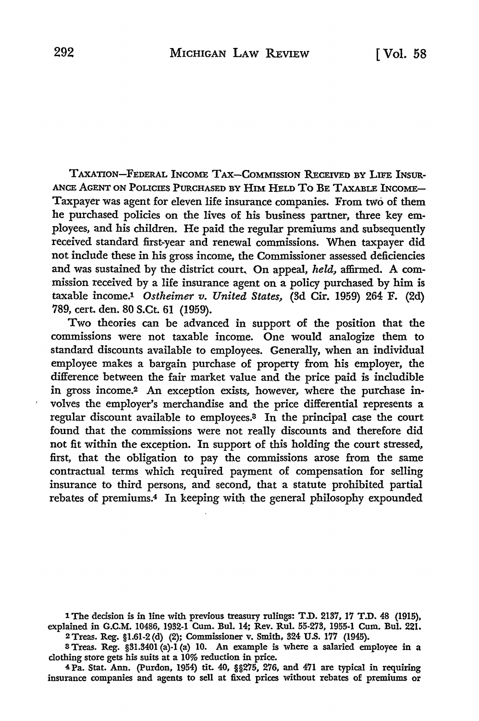TAXATION-FEDERAL INCOME TAX-COMMISSION RECEIVED BY LIFE INSUR.• ANCE AGENT ON POLICIES PURCHASED BY HIM HELD TO BE TAXABLE INCOME-Taxpayer was agent for eleven life insurance companies. From two of them he purchased policies on the lives of his business partner, three key employees, and his children. He paid the regular premiums and subsequently received standard first-year and renewal commissions. When taxpayer did not include these in his gross income, the Commissioner assessed deficiencies and was sustained by the district court, On appeal, *held,* affirmed. A commission received by a life insurance agent on a policy purchased by him is taxable income.1 *Ostheimer v. United States,* (8d Cir. 1959) 264 F. (2d) 789, cert. den. 80 S.Ct. 61 (1959).

Two theories can be advanced in support of the position that the commissions were not taxable income. One would analogize them to standard discounts available to employees. Generally, when an individual employee makes a bargain purchase of property from his employer, the difference between the fair market value and the price paid is includible in gross income.2 An exception exists, however, where the purchase involves the employer's merchandise and the price differential represents a regular discount available to employees.<sup>3</sup> In the principal case the court found that the commissions were not really discounts and therefore did not fit within the exception. In support of this holding the court stressed, first, that the obligation to pay the commissions arose from the same contractual terms which required payment of compensation for selling insurance to third persons, and second, that a statute prohibited partial rebates of premiums.<sup>4</sup> In keeping with the general philosophy expounded

1The decision is in line with previous treasury rulings: T.D. 2137, 17 T.D. 48 (1915), explained in G.C.M. 10486, 1932-1 Cum. Bul. 14; Rev. Rul. 55-273, 1955-1 Cum. Bul. 221. 2Treas. Reg. §l.61-2(d) (2); Commissioner v. Smith, 824 U.S. 177 (1945).

a Treas. Reg. §31.3401 (a)-1 (a) 10. An example is where a salaried employee in a clothing store gets his suits at a 10% reduction in price.

4 Pa. Stat. Ann. (Purdon, 1954) tit. 40, §§275, 276, and 471 are typical in requiring insurance companies and agents to sell at fixed prices without rebates of premiums or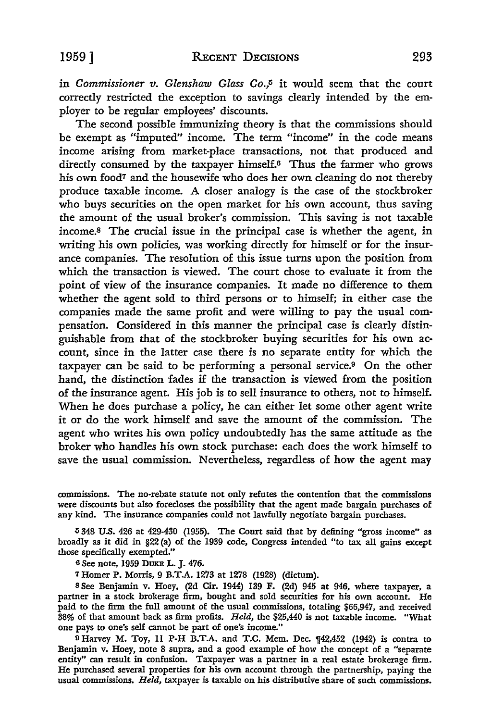in *Commissioner v. Glenshaw Glass* Co.,5 it would seem that the court correctly restricted the exception to savings clearly intended by the employer to be regular employees' discounts.

The second possible immunizing theory is that the commissions should be exempt as "imputed" income. The term "income" in the code means income arising from market-place transactions, not that produced and directly consumed by the taxpayer himself.<sup>6</sup> Thus the farmer who grows his own food<sup>7</sup> and the housewife who does her own cleaning do not thereby produce taxable income. A closer analogy is the case of the stockbroker who buys securities on the open market for his own account, thus saving the amount of the usual broker's commission. This saving is not taxable income.s The crucial issue in the principal case is whether the agent, in writing his own policies, was working directly for himself or for the insurance companies. The resolution of this issue turns upon the position from which the transaction is viewed. The court chose to evaluate it from the point of view of the insurance companies. It made no difference to them whether the agent sold to third persons or to himself; in either case the companies made the same profit and were willing to pay the usual compensation. Considered in this manner the principal case is clearly distinguishable from that of the stockbroker buying securities for his own account, since in the latter case there is no separate entity for which the taxpayer can be said to be performing a personal service.9 On the other hand, the distinction fades if the transaction is viewed from the position of the insurance agent. His job is to sell insurance to others, not to himself. When he does purchase a policy, he can either let some other agent write it or do the work himself and save the amount of the commission. The agent who writes his own policy undoubtedly has the same attitude as the broker who handles his own stock purchase: each does the work himself to save the usual commission. Nevertheless, regardless of how the agent may

commissions. The no-rebate statute not only refutes the contention that the commissions were discounts but also forecloses the possibility that the agent made bargain purchases of any kind. The insurance companies could not lawfully negotiate bargain purchases.

*6* 348 U.S. 426 at 429-430 (1955). The Court said that by defining "gross income" as broadly as it did in §22 (a) of the 1939 code, Congress intended "to tax all gains except those specifically exempted."

<sup>6</sup>See note, 1959 DuKE L. J. 476.

<sup>7</sup>Homer P. Morris, 9 B.T .A. 1273 at 1278 (1928) (dictum).

s See Benjamin v. Hoey, (2d Cir. 1944) 139 F. (2d) 945 at 946, where taxpayer, a partner in a stock brokerage firm, bought and sold securities for his own account. He paid to the firm the full amount of the usual commissions, totaling \$66,947, and received 38% of that amount back as firm profits. *Held,* the \$25,440 is not taxable income. "What one pays to one's self cannot be part of one's income."

9 Harvey M. Toy, 11 P-H B.T.A. and T.C. Mem. Dec.  $142,452$  (1942) is contra to Benjamin v. Hoey, note 8 supra, and a good example of how the concept of a "separate entity" can result in confusion. Taxpayer was a partner in a real estate brokerage firm. He purchased several properties for his own account through the partnership, paying the usual commissions. *Held,* taxpayer is taxable on his distributive share of such commissions.